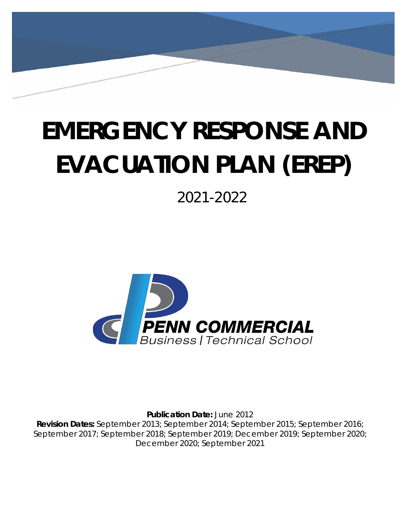# **EMERGENCY RESPONSE AND EVACUATION PLAN (EREP)**

2021-2022



**Publication Date:** June 2012 **Revision Dates:** September 2013; September 2014; September 2015; September 2016; September 2017; September 2018; September 2019; December 2019; September 2020; December 2020; September 2021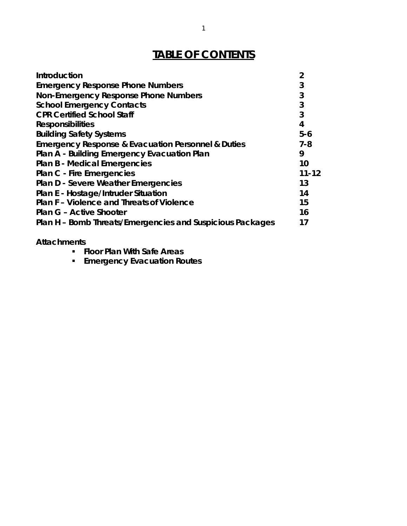# **TABLE OF CONTENTS**

| Introduction                                              | $\overline{2}$ |
|-----------------------------------------------------------|----------------|
| <b>Emergency Response Phone Numbers</b>                   | 3              |
| Non-Emergency Response Phone Numbers                      | 3              |
| <b>School Emergency Contacts</b>                          | 3              |
| <b>CPR Certified School Staff</b>                         | 3              |
| <b>Responsibilities</b>                                   | 4              |
| <b>Building Safety Systems</b>                            | $5-6$          |
| Emergency Response & Evacuation Personnel & Duties        | $7 - 8$        |
| Plan A - Building Emergency Evacuation Plan               | 9              |
| <b>Plan B - Medical Emergencies</b>                       | 10             |
| <b>Plan C - Fire Emergencies</b>                          | $11 - 12$      |
| <b>Plan D - Severe Weather Emergencies</b>                | 13             |
| Plan E - Hostage/Intruder Situation                       | 14             |
| Plan F - Violence and Threats of Violence                 | 15             |
| <b>Plan G - Active Shooter</b>                            | 16             |
| Plan H – Bomb Threats/Emergencies and Suspicious Packages | 17             |

## **Attachments**

- **Floor Plan With Safe Areas**
- **Emergency Evacuation Routes**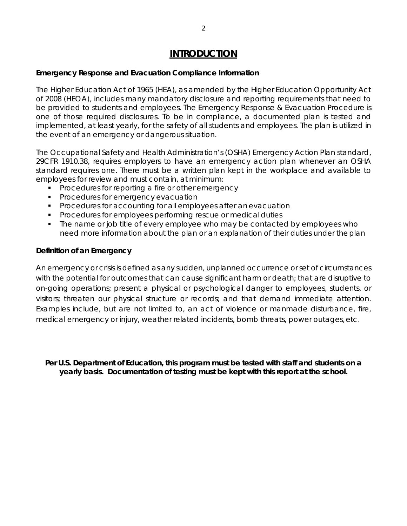## **INTRODUCTION**

#### <span id="page-2-0"></span>*Emergency Response and Evacuation Compliance Information*

The Higher Education Act of 1965 (HEA), as amended by the Higher Education Opportunity Act of 2008 (HEOA), includes many mandatory disclosure and reporting requirements that need to be provided to students and employees. The Emergency Response & Evacuation Procedure is one of those required disclosures. To be in compliance, a documented plan is tested and implemented, at least yearly, for the safety of all students and employees. The plan is utilized in the event of an emergency or dangerous situation.

The Occupational Safety and Health Administration's (OSHA) Emergency Action Plan standard, 29CFR 1910.38, requires employers to have an emergency action plan whenever an OSHA standard requires one. There must be a written plan kept in the workplace and available to employees for review and must contain, at minimum:

- **Procedures for reporting a fire or other emergency**
- **Procedures for emergency evacuation**
- **Procedures for accounting for all employees after an evacuation**
- **Procedures for employees performing rescue or medical duties**
- The name or job title of every employee who may be contacted by employees who need more information about the plan or an explanation of their duties under theplan

#### *Definition of an Emergency*

An emergency or crisis is defined as any sudden, unplanned occurrence or set of circumstances with the potential for outcomes that can cause significant harm or death; that are disruptive to on-going operations; present a physical or psychological danger to employees, students, or visitors; threaten our physical structure or records; and that demand immediate attention. Examples include, but are not limited to, an act of violence or manmade disturbance, fire, medical emergency or injury, weather related incidents, bomb threats, power outages, etc.

*Per U.S. Department of Education, this program must be tested with staff and students on a yearly basis. Documentation of testing must be kept with this report at the school.*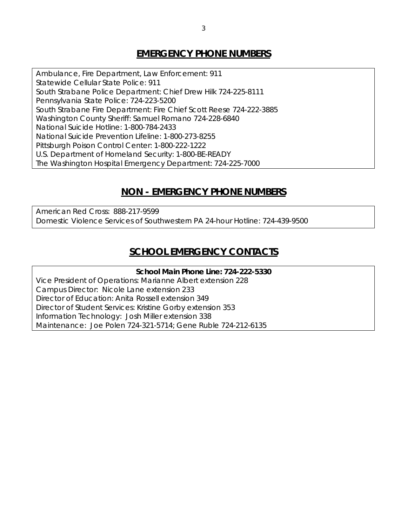## **EMERGENCY PHONE NUMBERS**

Ambulance, Fire Department, Law Enforcement: 911 Statewide Cellular State Police: 911 South Strabane Police Department: Chief Drew Hilk 724-225-8111 Pennsylvania State Police: 724-223-5200 South Strabane Fire Department: Fire Chief Scott Reese 724-222-3885 Washington County Sheriff: Samuel Romano 724-228-6840 National Suicide Hotline: 1-800-784-2433 National Suicide Prevention Lifeline: 1-800-273-8255 Pittsburgh Poison Control Center: 1-800-222-1222 U.S. Department of Homeland Security: 1-800-BE-READY The Washington Hospital Emergency Department: 724-225-7000

## **NON - EMERGENCY PHONE NUMBERS**

<span id="page-3-0"></span>American Red Cross: 888-217-9599 Domestic Violence Services of Southwestern PA 24-hour Hotline: 724-439-9500

## **SCHOOL EMERGENCY CONTACTS**

# *School Main Phone Line: 724-222-5330*

Vice President of Operations: Marianne Albert extension 228 Campus Director: Nicole Lane extension 233 Director of Education: Anita Rossell extension 349 Director of Student Services: Kristine Gorby extension 353 Information Technology: Josh Miller extension 338 Maintenance: Joe Polen 724-321-5714; Gene Ruble 724-212-6135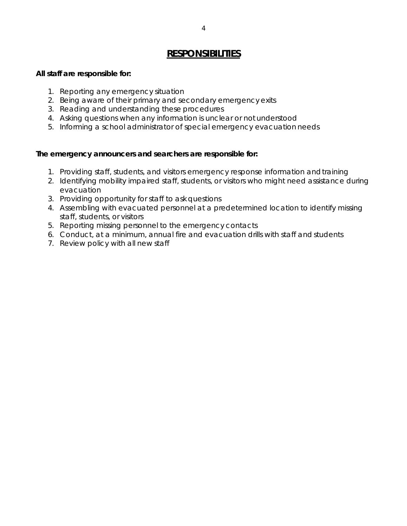## **RESPONSIBILITIES**

#### <span id="page-4-0"></span>*All staff are responsible for:*

- 1. Reporting any emergency situation
- 2. Being aware of their primary and secondary emergency exits
- 3. Reading and understanding these procedures
- 4. Asking questions when any information is unclear or not understood
- 5. Informing a school administrator of special emergency evacuation needs

#### *The emergency announcers and searchers are responsible for:*

- 1. Providing staff, students, and visitors emergency response information andtraining
- 2. Identifying mobility impaired staff, students, or visitors who might need assistance during evacuation
- 3. Providing opportunity for staff to ask questions
- 4. Assembling with evacuated personnel at a predetermined location to identify missing staff, students, or visitors
- 5. Reporting missing personnel to the emergency contacts
- 6. Conduct, at a minimum, annual fire and evacuation drills with staff and students
- 7. Review policy with all new staff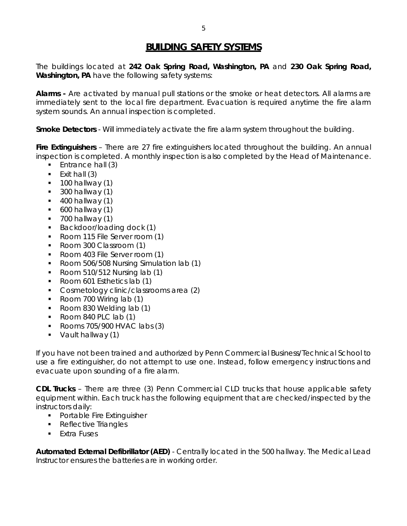## **BUILDING SAFETY SYSTEMS**

<span id="page-5-0"></span>The buildings located at *242 Oak Spring Road, Washington, PA and 230 Oak Spring Road, Washington, PA* have the following safety systems:

**Alarms -** Are activated by manual pull stations or the smoke or heat detectors. All alarms are immediately sent to the local fire department. Evacuation is required anytime the fire alarm system sounds. An annual inspection is completed.

**Smoke Detectors** - Will immediately activate the fire alarm system throughout the building.

**Fire Extinguishers** – There are 27 fire extinguishers located throughout the building. An annual inspection is completed. A monthly inspection is also completed by the Head of Maintenance.

- $\blacksquare$  Entrance hall (3)
- $\blacksquare$  Exit hall (3)
- $\blacksquare$  100 hallway (1)
- $\blacksquare$  300 hallway (1)
- $\blacksquare$  400 hallway (1)
- $\bullet$  600 hallway (1)
- $\blacksquare$  700 hallway (1)
- Backdoor/loading dock (1)
- Room 115 File Server room (1)
- Room 300 Classroom (1)
- Room 403 File Server room (1)
- Room 506/508 Nursing Simulation lab (1)
- Room 510/512 Nursing  $lab(1)$
- Room 601 Esthetics lab (1)
- **Cosmetology clinic/classrooms area (2)**
- Room 700 Wiring lab (1)
- Room 830 Welding lab (1)
- Room 840 PLC lab  $(1)$
- Rooms  $705/900$  HVAC labs  $(3)$
- Vault hallway (1)

If you have not been trained and authorized by Penn Commercial Business/Technical School to use a fire extinguisher, do not attempt to use one. Instead, follow emergency instructions and evacuate upon sounding of a fire alarm.

**CDL Trucks** – There are three (3) Penn Commercial CLD trucks that house applicable safety equipment within. Each truck has the following equipment that are checked/inspected by the instructors daily:

- **•** Portable Fire Extinguisher
- Reflective Triangles
- **Fxtra Fuses**

**Automated External Defibrillator (AED)** - Centrally located in the 500 hallway. The Medical Lead Instructor ensures the batteries are in working order.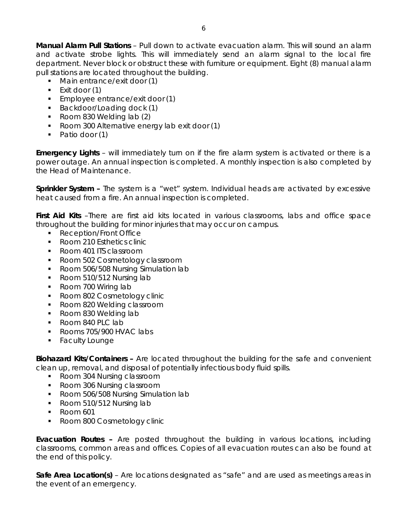**Manual Alarm Pull Stations** – Pull down to activate evacuation alarm. This will sound an alarm and activate strobe lights. This will immediately send an alarm signal to the local fire department. Never block or obstruct these with furniture or equipment. Eight (8) manual alarm pull stations are located throughout the building.

- Main entrance/exit door (1)
- $\blacksquare$  Exit door (1)
- **Employee entrance/exit door (1)**
- Backdoor/Loading dock (1)
- Room 830 Welding lab (2)
- Room 300 Alternative energy lab exit door (1)
- Patio door (1)

**Emergency Lights** – will immediately turn on if the fire alarm system is activated or there is a power outage. An annual inspection is completed. A monthly inspection is also completed by the Head of Maintenance.

**Sprinkler System –** The system is a "wet" system. Individual heads are activated by excessive heat caused from a fire. An annual inspection is completed.

First Aid Kits -There are first aid kits located in various classrooms, labs and office space throughout the building for minor injuries that may occur on campus.

- Reception/Front Office
- Room 210 Esthetics clinic
- Room 401 ITS classroom
- Room 502 Cosmetology classroom
- Room 506/508 Nursing Simulation lab
- Room 510/512 Nursing lab
- Room 700 Wiring lab
- **Room 802 Cosmetology clinic**
- Room 820 Welding classroom
- Room 830 Welding lab
- Room 840 PLC lab
- Rooms 705/900 HVAC labs
- **Faculty Lounge**

**Biohazard Kits/Containers –** Are located throughout the building for the safe and convenient clean up, removal, and disposal of potentially infectious body fluid spills.

- Room 304 Nursing classroom
- Room 306 Nursing classroom
- Room 506/508 Nursing Simulation lab
- Room 510/512 Nursing lab
- Room 601
- Room 800 Cosmetology clinic

**Evacuation Routes –** Are posted throughout the building in various locations, including classrooms, common areas and offices. Copies of all evacuation routes can also be found at the end of this policy.

**Safe Area Location(s)** – Are locations designated as "safe" and are used as meetings areas in the event of an emergency.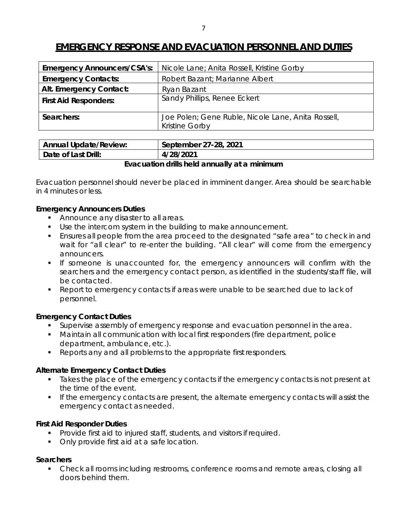## **EMERGENCY RESPONSE AND EVACUATION PERSONNEL AND DUTIES**

| <b>Emergency Announcers/CSA's:</b> | Nicole Lane; Anita Rossell, Kristine Gorby                                  |
|------------------------------------|-----------------------------------------------------------------------------|
| <b>Emergency Contacts:</b>         | Robert Bazant; Marianne Albert                                              |
| Alt. Emergency Contact:            | Ryan Bazant                                                                 |
| <b>First Aid Responders:</b>       | Sandy Phillips, Renee Eckert                                                |
| Searchers:                         | Joe Polen; Gene Ruble, Nicole Lane, Anita Rossell,<br><b>Kristine Gorby</b> |

| Annual Update/Review: | September 27-28, 2021 |
|-----------------------|-----------------------|
| Date of Last Drill:   | 4/28/2021             |
|                       | .                     |

#### *Evacuation drills held annually at a minimum*

Evacuation personnel should never be placed in imminent danger. Area should be searchable in 4 minutes or less.

#### *Emergency Announcers Duties*

- Announce any disaster to all areas.
- Use the intercom system in the building to make announcement.
- Ensures all people from the area proceed to the designated "safe area" to check in and wait for "all clear" to re-enter the building. "All clear" will come from the emergency announcers.
- If someone is unaccounted for, the emergency announcers will confirm with the searchers and the emergency contact person, as identified in the students/staff file, will be contacted.
- **Parager 1** Report to emergency contacts if areas were unable to be searched due to lack of personnel.

#### *Emergency Contact Duties*

- **Supervise assembly of emergency response and evacuation personnel in the area.**
- Maintain all communication with local first responders (fire department, police department, ambulance, etc.).
- **Reports any and all problems to the appropriate first responders.**

#### *Alternate Emergency Contact Duties*

- Takes the place of the emergency contacts if the emergency contacts is not present at the time of the event.
- If the emergency contacts are present, the alternate emergency contacts will assist the emergency contact as needed.

#### *First Aid Responder Duties*

- **Provide first aid to injured staff, students, and visitors if required.**
- Only provide first aid at a safe location.

#### *Searchers*

 Check all rooms including restrooms, conference rooms and remote areas, closing all doors behind them.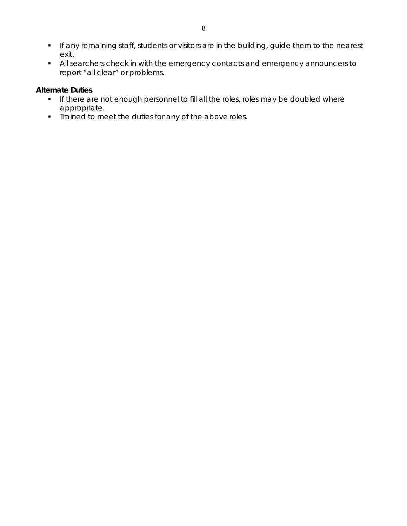- **If any remaining staff, students or visitors are in the building, guide them to the nearest** exit.
- All searchers check in with the emergency contacts and emergency announcers to report "all clear" or problems.

#### *Alternate Duties*

- **If there are not enough personnel to fill all the roles, roles may be doubled where** appropriate.
- Trained to meet the duties for any of the above roles.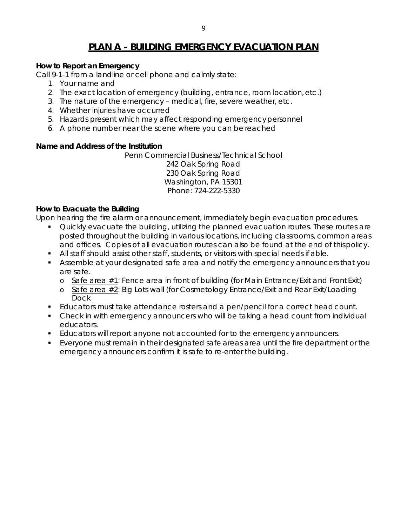## **PLAN A - BUILDING EMERGENCY EVACUATION PLAN**

#### <span id="page-9-0"></span>*How to Report an Emergency*

Call 9-1-1 from a landline or cell phone and calmly state:

- 1. Your name and
- 2. The exact location of emergency (building, entrance, room location,etc.)
- 3. The nature of the emergency medical, fire, severe weather, etc.
- 4. Whether injuries have occurred
- 5. Hazards present which may affect responding emergencypersonnel
- 6. A phone number near the scene where you can be reached

#### *Name and Address of the Institution*

Penn Commercial Business/Technical School 242 Oak Spring Road 230 Oak Spring Road Washington, PA 15301 Phone: 724-222-5330

#### *How to Evacuate the Building*

Upon hearing the fire alarm or announcement, immediately begin evacuation procedures.

- **Quickly evacuate the building, utilizing the planned evacuation routes. These routes are** posted throughout the building in various locations, including classrooms, common areas and offices. Copies of all evacuation routes can also be found at the end of thispolicy.
- All staff should assist other staff, students, or visitors with special needs if able.
- Assemble at your designated safe area and notify the emergency announcers that you are safe.
	- $\circ$  Safe area #1: Fence area in front of building (for Main Entrance/Exit and Front Exit)
	- o Safe area #2: Big Lots wall (for Cosmetology Entrance/Exit and Rear Exit/Loading Dock
- **Educators must take attendance rosters and a pen/pencil for a correct head count.**
- Check in with emergency announcers who will be taking a head count from individual educators.
- Educators will report anyone not accounted for to the emergencyannouncers.
- Everyone must remain in their designated safe areas area until the fire department or the emergency announcers confirm it is safe to re-enter the building.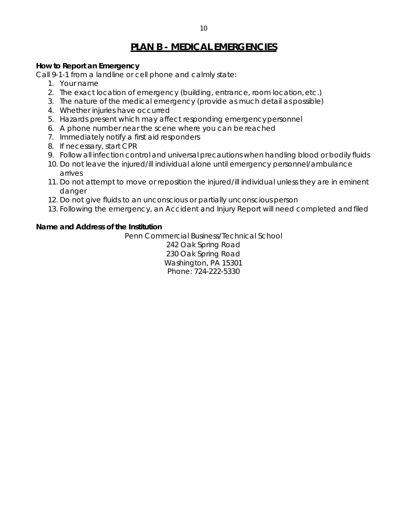## **PLAN B - MEDICAL EMERGENCIES**

#### <span id="page-10-0"></span>*How to Report an Emergency*

Call 9-1-1 from a landline or cell phone and calmly state:

- 1. Your name
- 2. The exact location of emergency (building, entrance, room location,etc.)
- 3. The nature of the medical emergency (provide as much detail as possible)
- 4. Whether injuries have occurred
- 5. Hazards present which may affect responding emergencypersonnel
- 6. A phone number near the scene where you can be reached
- 7. Immediately notify a first aid responders
- 8. If necessary, start CPR
- 9. Follow all infection control and universal precautions when handling blood or bodily fluids
- 10. Do not leave the injured/ill individual alone until emergency personnel/ambulance arrives
- 11. Do not attempt to move or reposition the injured/ill individual unless they are in eminent danger
- 12. Do not give fluids to an unconscious or partially unconscious person
- 13. Following the emergency, an Accident and Injury Report will need completed andfiled

#### *Name and Address of the Institution*

Penn Commercial Business/Technical School

242 Oak Spring Road 230 Oak Spring Road Washington, PA 15301 Phone: 724-222-5330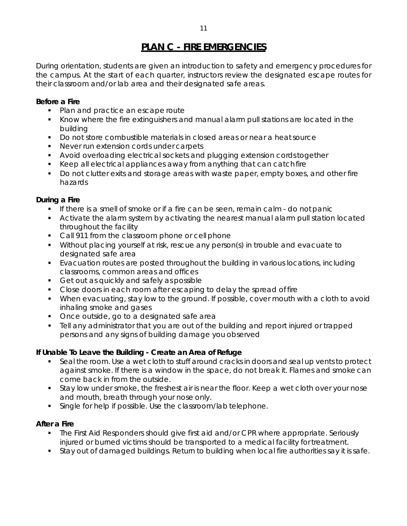## **PLAN C - FIRE EMERGENCIES**

<span id="page-11-0"></span>During orientation, students are given an introduction to safety and emergency procedures for the campus. At the start of each quarter, instructors review the designated escape routes for their classroom and/or lab area and their designated safe areas.

#### *Before a Fire*

- Plan and practice an escape route
- Know where the fire extinguishers and manual alarm pull stations are located in the building
- Do not store combustible materials in closed areas or near a heatsource
- **Never run extension cords under carpets**
- Avoid overloading electrical sockets and plugging extension cordstogether
- Keep all electrical appliances away from anything that can catch fire
- Do not clutter exits and storage areas with waste paper, empty boxes, and other fire hazards

#### *During a Fire*

- If there is a smell of smoke or if a fire can be seen, remain calm do notpanic
- **EXT** Activate the alarm system by activating the nearest manual alarm pull station located throughout the facility
- Call 911 from the classroom phone or cell phone
- Without placing yourself at risk, rescue any person(s) in trouble and evacuate to designated safe area
- Evacuation routes are posted throughout the building in various locations, including classrooms, common areas and offices
- Get out as quickly and safely as possible
- Close doors in each room after escaping to delay the spread of fire
- When evacuating, stay low to the ground. If possible, cover mouth with a cloth to avoid inhaling smoke and gases
- Once outside, go to a designated safe area
- Tell any administrator that you are out of the building and report injured or trapped persons and any signs of building damage you observed

#### *If Unable To Leave the Building - Create an Area of Refuge*

- **Seal the room. Use a wet cloth to stuff around cracks in doors and seal up vents to protect** against smoke. If there is a window in the space, do not break it. Flames and smoke can come back in from the outside.
- Stay low under smoke, the freshest air is near the floor. Keep a wet cloth over your nose and mouth, breath through your nose only.
- Single for help if possible. Use the classroom/lab telephone.

#### *After a Fire*

- The First Aid Responders should give first aid and/or CPR where appropriate. Seriously injured or burned victims should be transported to a medical facility for treatment.
- **Stay out of damaged buildings. Return to building when local fire authorities say it is safe.**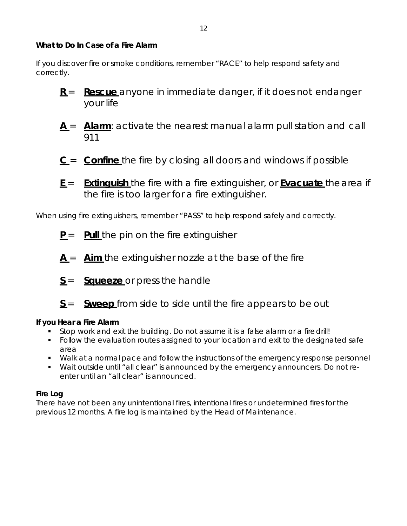#### *What to Do In Case of a Fire Alarm*

If you discover fire or smoke conditions, remember "RACE" to help respond safety and correctly.

- **R** = **Rescue** anyone in immediate danger, if it does not endanger your life
- A = Alarm: activate the nearest manual alarm pull station and call 911
- **C** = **Confine** the fire by closing all doors and windows if possible
- **E** = **Extinguish** the fire with a fire extinguisher, or **Evacuate** thearea if the fire is too larger for a fire extinguisher.

When using fire extinguishers, remember "PASS" to help respond safely and correctly.

- **P** = **Pull** the pin on the fire extinguisher
- **A** = **Aim** the extinguisher nozzle at the base of the fire
- **S** = **Squeeze** or press the handle
- **S** = **Sweep** from side to side until the fire appears to be out

#### *If you Hear a Fire Alarm*

- Stop work and exit the building. Do not assume it is a false alarm or a firedrill!
- Follow the evaluation routes assigned to your location and exit to the designated safe area
- Walk at a normal pace and follow the instructions of the emergency response personnel
- Wait outside until "all clear" is announced by the emergency announcers. Do not reenter until an "all clear" is announced.

#### *Fire Log*

There have not been any unintentional fires, intentional fires or undetermined fires for the previous 12 months. A fire log is maintained by the Head of Maintenance.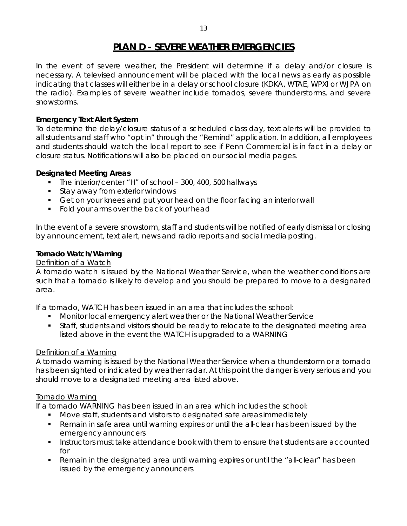## **PLAN D - SEVERE WEATHER EMERGENCIES**

<span id="page-13-0"></span>In the event of severe weather, the President will determine if a delay and/or closure is necessary. A televised announcement will be placed with the local news as early as possible indicating that classes will either be in a delay or school closure (KDKA, WTAE, WPXI or WJPA on the radio). Examples of severe weather include tornados, severe thunderstorms, and severe snowstorms.

#### *Emergency Text Alert System*

To determine the delay/closure status of a scheduled class day, text alerts will be provided to all students and staff who "opt in" through the "Remind" application. In addition, all employees and students should watch the local report to see if Penn Commercial is in fact in a delay or closure status. Notifications will also be placed on our social mediapages.

#### *Designated Meeting Areas*

- The interior/center "H" of school 300, 400, 500 hallways
- **Stay away from exterior windows**
- Get on your knees and put your head on the floor facing an interior wall
- Fold your arms over the back of your head

In the event of a severe snowstorm, staff and students will be notified of early dismissal or closing by announcement, text alert, news and radio reports and social mediaposting.

#### *Tornado Watch/Warning*

#### Definition of a Watch

A tornado watch is issued by the National Weather Service, when the weather conditions are such that a tornado is likely to develop and you should be prepared to move to a designated area.

If a tornado, WATCH has been issued in an area that includes the school:

- Monitor local emergency alert weather or the National Weather Service
- Staff, students and visitors should be ready to relocate to the designated meeting area listed above in the event the WATCH is upgraded to a WARNING

#### *Definition of a Warning*

A tornado warning is issued by the National Weather Service when a thunderstorm or a tornado has been sighted or indicated by weather radar. At this point the danger is very serious and you should move to a designated meeting area listed above.

#### Tornado Warning

If a tornado WARNING has been issued in an area which includes the school:

- Move staff, students and visitors to designated safe areasimmediately
- Remain in safe area until warning expires or until the all-clear has been issued by the emergency announcers
- **Instructors must take attendance book with them to ensure that students are accounted** for
- Remain in the designated area until warning expires or until the "all-clear" has been issued by the emergency announcers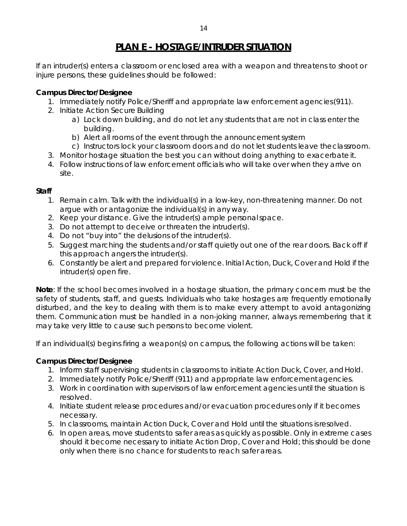<span id="page-14-0"></span>If an intruder(s) enters a classroom or enclosed area with a weapon and threatens to shoot or injure persons, these guidelines should be followed:

## **Campus Director/Designee**

- 1. Immediately notify Police/Sheriff and appropriate law enforcement agencies(911).
- 2. Initiate Action Secure Building
	- a) Lock down building, and do not let any students that are not in class enter the building.
	- b) Alert all rooms of the event through the announcementsystem
	- c) Instructors lock your classroom doors and do not let students leave theclassroom.
- 3. Monitor hostage situation the best you can without doing anything to exacerbateit.
- 4. Follow instructions of law enforcement officials who will take over when they arrive on site.

#### **Staff**

- 1. Remain calm. Talk with the individual(s) in a low-key, non-threatening manner. Do not argue with or antagonize the individual(s) in any way.
- 2. Keep your distance. Give the intruder(s) ample personalspace.
- 3. Do not attempt to deceive or threaten the intruder(s).
- 4. Do not "buy into" the delusions of the intruder(s).
- 5. Suggest marching the students and/or staff quietly out one of the rear doors. Back off if this approach angers the intruder(s).
- 6. Constantly be alert and prepared for violence. Initial Action, Duck, Cover and Hold if the intruder(s) open fire.

**Note**: If the school becomes involved in a hostage situation, the primary concern must be the safety of students, staff, and guests. Individuals who take hostages are frequently emotionally disturbed, and the key to dealing with them is to make every attempt to avoid antagonizing them. Communication must be handled in a non-joking manner, always remembering that it may take very little to cause such persons to become violent.

If an individual(s) begins firing a weapon(s) on campus, the following actions will be taken:

## **Campus Director/Designee**

- 1. Inform staff supervising students in classrooms to initiate Action Duck, Cover, andHold.
- 2. Immediately notify Police/Sheriff (911) and appropriate law enforcementagencies.
- 3. Work in coordination with supervisors of law enforcement agencies until the situation is resolved.
- 4. Initiate student release procedures and/or evacuation procedures only if it becomes necessary.
- 5. In classrooms, maintain Action Duck, Cover and Hold until the situations isresolved.
- 6. In open areas, move students to safer areas as quickly as possible. Only in extreme cases should it become necessary to initiate Action Drop, Cover and Hold; this should be done only when there is no chance for students to reach safer areas.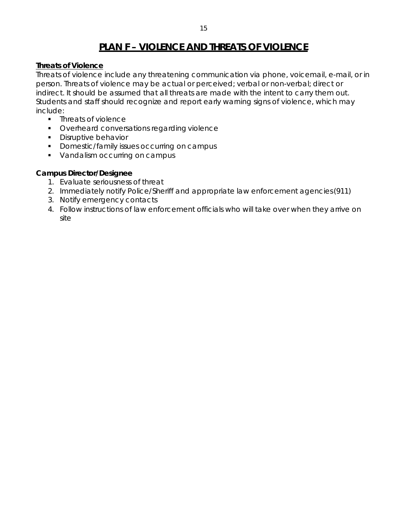## **PLAN F – VIOLENCE AND THREATS OF VIOLENCE**

#### <span id="page-15-0"></span>**Threats of Violence**

Threats of violence include any threatening communication via phone, voicemail, e-mail, or in person. Threats of violence may be actual or perceived; verbal or non-verbal; direct or indirect. It should be assumed that all threats are made with the intent to carry them out. Students and staff should recognize and report early warning signs of violence, which may include:

- Threats of violence
- **•** Overheard conversations regarding violence
- **Disruptive behavior**
- Domestic/family issues occurring on campus
- Vandalism occurring on campus

#### **Campus Director/Designee**

- 1. Evaluate seriousness of threat
- 2. Immediately notify Police/Sheriff and appropriate law enforcement agencies(911)
- 3. Notify emergency contacts
- 4. Follow instructions of law enforcement officials who will take over when they arrive on site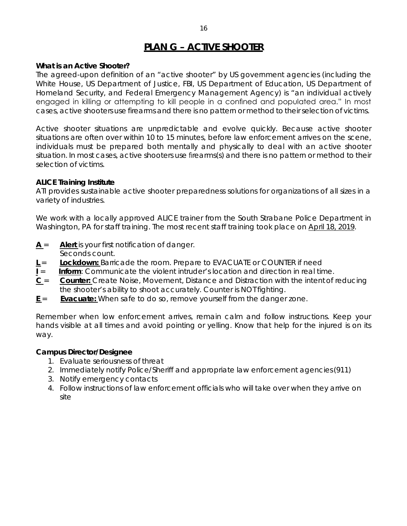## **PLAN G – ACTIVE SHOOTER**

#### *What is an Active Shooter?*

<span id="page-16-0"></span>The agreed-upon definition of an "active shooter" by US government agencies (including the White House, US Department of Justice, FBI, US Department of Education, US Department of Homeland Security, and Federal Emergency Management Agency) is "an individual actively engaged in killing or attempting to kill people in a confined and populated area." In most cases, active shooters use firearms and there is no pattern or method to their selection of victims.

Active shooter situations are unpredictable and evolve quickly. Because active shooter situations are often over within 10 to 15 minutes, before law enforcement arrives on the scene, individuals must be prepared both mentally and physically to deal with an active shooter situation. In most cases, active shooters use firearms(s) and there is no pattern or method to their selection of victims.

#### *ALICE Training Institute*

ATI provides sustainable active shooter preparedness solutions for organizations of all sizes in a variety of industries.

We work with a locally approved ALICE trainer from the South Strabane Police Department in Washington, PA for staff training. The most recent staff training took place on April 18, 2019.

- **A** = **Alert** is your first notification of danger. Seconds count.
- **L** = **Lockdown:** Barricade the room. Prepare to EVACUATE or COUNTER if need
- **I** = **Inform**: Communicate the violent intruder's location and direction in real time.
- **C** = **Counter:** Create Noise, Movement, Distance and Distraction with the intentof reducing the shooter's ability to shoot accurately. Counter is NOT fighting.
- **E** = **Evacuate:** When safe to do so, remove yourself from the danger zone.

Remember when low enforcement arrives, remain calm and follow instructions. Keep your hands visible at all times and avoid pointing or yelling. Know that help for the injured is on its way.

#### **Campus Director/Designee**

- 1. Evaluate seriousness of threat
- 2. Immediately notify Police/Sheriff and appropriate law enforcement agencies(911)
- 3. Notify emergency contacts
- 4. Follow instructions of law enforcement officials who will take over when they arrive on site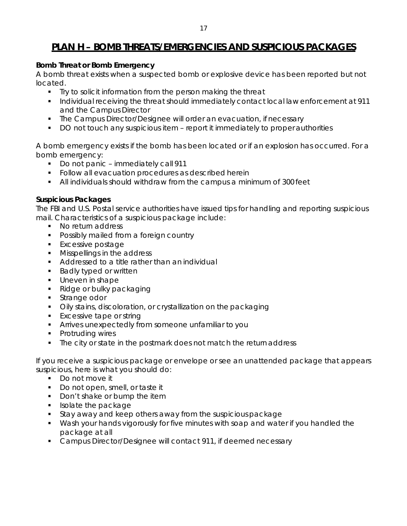## <span id="page-17-0"></span>**PLAN H – BOMB THREATS/EMERGENCIES AND SUSPICIOUS PACKAGES**

#### *Bomb Threat or Bomb Emergency*

A bomb threat exists when a suspected bomb or explosive device has been reported but not located.

- **Try to solicit information from the person making the threat**
- Individual receiving the threat should immediately contact local law enforcement at 911 and the Campus Director
- The Campus Director/Designee will order an evacuation, if necessary
- DO not touch any suspicious item report it immediately to proper authorities

A bomb emergency exists if the bomb has been located or if an explosion has occurred. For a bomb emergency:

- Do not panic immediately call 911
- **Follow all evacuation procedures as described herein**
- All individuals should withdraw from the campus a minimum of 300 feet

#### *Suspicious Packages*

The FBI and U.S. Postal service authorities have issued tips for handling and reporting suspicious mail. Characteristics of a suspicious package include:

- No return address
- **Possibly mailed from a foreign country**
- **Excessive postage**
- **Misspellings in the address**
- Addressed to a title rather than an individual
- **Badly typed or written**
- **Uneven in shape**
- Ridge or bulky packaging
- **Strange odor**
- Oily stains, discoloration, or crystallization on the packaging
- **Excessive tape or string**
- Arrives unexpectedly from someone unfamiliar to you
- Protruding wires
- The city or state in the postmark does not match the return address

If you receive a suspicious package or envelope or see an unattended package that appears suspicious, here is what you should do:

- Do not move it
- Do not open, smell, or taste it
- Don't shake or bump the item
- **Isolate the package**
- **Stay away and keep others away from the suspicious package**
- Wash your hands vigorously for five minutes with soap and water if you handled the package at all
- **Campus Director/Designee will contact 911, if deemed necessary**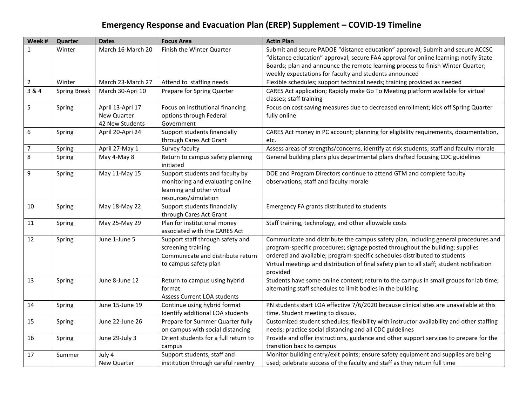# **Emergency Response and Evacuation Plan (EREP) Supplement – COVID-19 Timeline**

| Week #         | Quarter             | <b>Dates</b>      | <b>Focus Area</b>                             | <b>Actin Plan</b>                                                                                           |
|----------------|---------------------|-------------------|-----------------------------------------------|-------------------------------------------------------------------------------------------------------------|
| $\mathbf{1}$   | Winter              | March 16-March 20 | Finish the Winter Quarter                     | Submit and secure PADOE "distance education" approval; Submit and secure ACCSC                              |
|                |                     |                   |                                               | "distance education" approval; secure FAA approval for online learning; notify State                        |
|                |                     |                   |                                               | Boards; plan and announce the remote learning process to finish Winter Quarter;                             |
|                |                     |                   |                                               | weekly expectations for faculty and students announced                                                      |
| $\overline{2}$ | Winter              | March 23-March 27 | Attend to staffing needs                      | Flexible schedules; support technical needs; training provided as needed                                    |
| 3 & 4          | <b>Spring Break</b> | March 30-Apri 10  | Prepare for Spring Quarter                    | CARES Act application; Rapidly make Go To Meeting platform available for virtual<br>classes; staff training |
| 5              | Spring              | April 13-Apri 17  | Focus on institutional financing              | Focus on cost saving measures due to decreased enrollment; kick off Spring Quarter                          |
|                |                     | New Quarter       | options through Federal                       | fully online                                                                                                |
|                |                     | 42 New Students   | Government                                    |                                                                                                             |
| 6              | Spring              | April 20-Apri 24  | Support students financially                  | CARES Act money in PC account; planning for eligibility requirements, documentation,                        |
|                |                     |                   | through Cares Act Grant                       | etc.                                                                                                        |
| $\overline{7}$ | Spring              | April 27-May 1    | Survey faculty                                | Assess areas of strengths/concerns, identify at risk students; staff and faculty morale                     |
| 8              | Spring              | May 4-May 8       | Return to campus safety planning<br>initiated | General building plans plus departmental plans drafted focusing CDC guidelines                              |
| 9              | Spring              | May 11-May 15     | Support students and faculty by               | DOE and Program Directors continue to attend GTM and complete faculty                                       |
|                |                     |                   | monitoring and evaluating online              | observations; staff and faculty morale                                                                      |
|                |                     |                   | learning and other virtual                    |                                                                                                             |
|                |                     |                   | resources/simulation                          |                                                                                                             |
| 10             | Spring              | May 18-May 22     | Support students financially                  | Emergency FA grants distributed to students                                                                 |
|                |                     |                   | through Cares Act Grant                       |                                                                                                             |
| 11             | Spring              | May 25-May 29     | Plan for institutional money                  | Staff training, technology, and other allowable costs                                                       |
|                |                     |                   | associated with the CARES Act                 |                                                                                                             |
| 12             | Spring              | June 1-June 5     | Support staff through safety and              | Communicate and distribute the campus safety plan, including general procedures and                         |
|                |                     |                   | screening training                            | program-specific procedures; signage posted throughout the building; supplies                               |
|                |                     |                   | Communicate and distribute return             | ordered and available; program-specific schedules distributed to students                                   |
|                |                     |                   | to campus safety plan                         | Virtual meetings and distribution of final safety plan to all staff; student notification<br>provided       |
| 13             | Spring              | June 8-June 12    | Return to campus using hybrid                 | Students have some online content; return to the campus in small groups for lab time;                       |
|                |                     |                   | format                                        | alternating staff schedules to limit bodies in the building                                                 |
|                |                     |                   | Assess Current LOA students                   |                                                                                                             |
| 14             | Spring              | June 15-June 19   | Continue using hybrid format                  | PN students start LOA effective 7/6/2020 because clinical sites are unavailable at this                     |
|                |                     |                   | Identify additional LOA students              | time. Student meeting to discuss.                                                                           |
| 15             | Spring              | June 22-June 26   | Prepare for Summer Quarter fully              | Customized student schedules; flexibility with instructor availability and other staffing                   |
|                |                     |                   | on campus with social distancing              | needs; practice social distancing and all CDC guidelines                                                    |
| 16             | Spring              | June 29-July 3    | Orient students for a full return to          | Provide and offer instructions, guidance and other support services to prepare for the                      |
|                |                     |                   | campus                                        | transition back to campus                                                                                   |
| 17             | Summer              | July 4            | Support students, staff and                   | Monitor building entry/exit points; ensure safety equipment and supplies are being                          |
|                |                     | New Quarter       | institution through careful reentry           | used; celebrate success of the faculty and staff as they return full time                                   |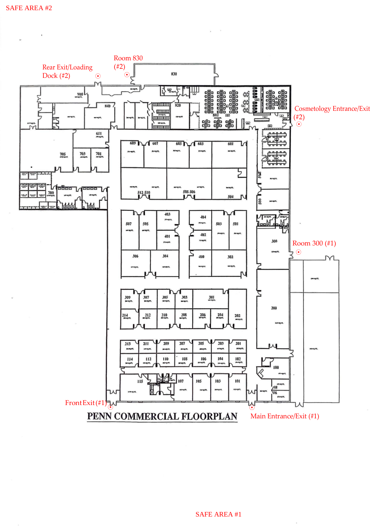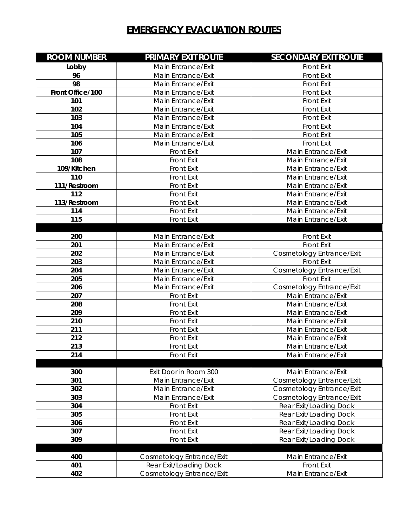# **EMERGENCY EVACUATION ROUTES**

| <b>ROOM NUMBER</b> | <b>PRIMARY EXIT ROUTE</b>                | <b>SECONDARY EXIT ROUTE</b>                    |
|--------------------|------------------------------------------|------------------------------------------------|
| Lobby              | Main Entrance/Exit                       | Front Exit                                     |
| 96                 | Main Entrance/Exit                       | <b>Front Exit</b>                              |
| 98                 | Main Entrance/Exit                       | <b>Front Exit</b>                              |
| Front Office/100   | Main Entrance/Exit                       | <b>Front Exit</b>                              |
| 101                | Main Entrance/Exit                       | <b>Front Exit</b>                              |
| 102                | Main Entrance/Exit                       | <b>Front Exit</b>                              |
| 103                | Main Entrance/Exit                       | <b>Front Exit</b>                              |
| 104                | Main Entrance/Exit                       | <b>Front Exit</b>                              |
| 105                | Main Entrance/Exit                       | <b>Front Exit</b>                              |
| 106                | Main Entrance/Exit                       | <b>Front Exit</b>                              |
| 107                | <b>Front Exit</b>                        | Main Entrance/Exit                             |
| 108                | <b>Front Exit</b>                        | Main Entrance/Exit                             |
| 109/Kitchen        | <b>Front Exit</b>                        | Main Entrance/Exit                             |
| 110                | <b>Front Exit</b>                        | Main Entrance/Exit                             |
| 111/Restroom       | <b>Front Exit</b>                        | Main Entrance/Exit                             |
| 112                | <b>Front Exit</b>                        | Main Entrance/Exit                             |
| 113/Restroom       | <b>Front Exit</b>                        | Main Entrance/Exit                             |
| 114                | <b>Front Exit</b>                        | Main Entrance/Exit                             |
| 115                | <b>Front Exit</b>                        | Main Entrance/Exit                             |
|                    |                                          |                                                |
| 200                | Main Entrance/Exit                       | <b>Front Exit</b>                              |
| 201<br>202         | Main Entrance/Exit<br>Main Entrance/Exit | Front Exit                                     |
| 203                | Main Entrance/Exit                       | Cosmetology Entrance/Exit<br><b>Front Exit</b> |
| 204                | Main Entrance/Exit                       | Cosmetology Entrance/Exit                      |
| 205                | Main Entrance/Exit                       | Front Exit                                     |
| 206                | Main Entrance/Exit                       | Cosmetology Entrance/Exit                      |
| 207                | <b>Front Exit</b>                        | Main Entrance/Exit                             |
| 208                | <b>Front Exit</b>                        | Main Entrance/Exit                             |
| 209                | <b>Front Exit</b>                        | Main Entrance/Exit                             |
| 210                | <b>Front Exit</b>                        | Main Entrance/Exit                             |
| 211                | <b>Front Exit</b>                        | Main Entrance/Exit                             |
| 212                | <b>Front Exit</b>                        | Main Entrance/Exit                             |
| 213                | <b>Front Exit</b>                        | Main Entrance/Exit                             |
| 214                | <b>Front Exit</b>                        | Main Entrance/Exit                             |
|                    |                                          |                                                |
| 300                | Exit Door in Room 300                    | Main Entrance/Exit                             |
| 301                | Main Entrance/Exit                       | Cosmetology Entrance/Exit                      |
| 302                | Main Entrance/Exit                       | Cosmetology Entrance/Exit                      |
| 303                | Main Entrance/Exit                       | Cosmetology Entrance/Exit                      |
| 304                | <b>Front Exit</b>                        | Rear Exit/Loading Dock                         |
| 305                | <b>Front Exit</b>                        | Rear Exit/Loading Dock                         |
| 306                | <b>Front Exit</b>                        | Rear Exit/Loading Dock                         |
| 307                | <b>Front Exit</b>                        | Rear Exit/Loading Dock                         |
| 309                | <b>Front Exit</b>                        | Rear Exit/Loading Dock                         |
|                    |                                          |                                                |
| 400                | Cosmetology Entrance/Exit                | Main Entrance/Exit                             |
| 401                | Rear Exit/Loading Dock                   | <b>Front Exit</b>                              |
| 402                | Cosmetology Entrance/Exit                | Main Entrance/Exit                             |